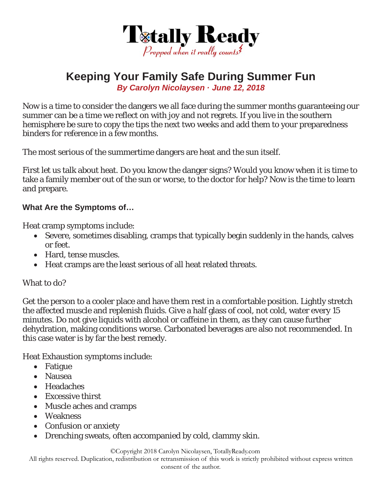

## **Keeping Your Family Safe During Summer Fun**

*By Carolyn Nicolaysen · June 12, 2018* 

Now is a time to consider the dangers we all face during the summer months guaranteeing our summer can be a time we reflect on with joy and not regrets. If you live in the southern hemisphere be sure to copy the tips the next two weeks and add them to your preparedness binders for reference in a few months.

The most serious of the summertime dangers are heat and the sun itself.

First let us talk about heat. Do you know the danger signs? Would you know when it is time to take a family member out of the sun or worse, to the doctor for help? Now is the time to learn and prepare.

## **What Are the Symptoms of…**

Heat cramp symptoms include:

- Severe, sometimes disabling, cramps that typically begin suddenly in the hands, calves or feet.
- Hard, tense muscles.
- Heat cramps are the least serious of all heat related threats.

## What to do?

Get the person to a cooler place and have them rest in a comfortable position. Lightly stretch the affected muscle and replenish fluids. Give a half glass of cool, not cold, water every 15 minutes. Do not give liquids with alcohol or caffeine in them, as they can cause further dehydration, making conditions worse. Carbonated beverages are also not recommended. In this case water is by far the best remedy.

Heat Exhaustion symptoms include:

- Fatigue
- Nausea
- Headaches
- Excessive thirst
- Muscle aches and cramps
- Weakness
- Confusion or anxiety
- Drenching sweats, often accompanied by cold, clammy skin.

©Copyright 2018 Carolyn Nicolaysen, TotallyReady.com

All rights reserved. Duplication, redistribution or retransmission of this work is strictly prohibited without express written

consent of the author.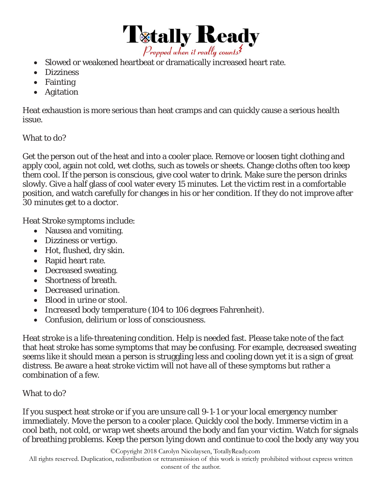

- Slowed or weakened heartbeat or dramatically increased heart rate.
- Dizziness
- Fainting
- Agitation

Heat exhaustion is more serious than heat cramps and can quickly cause a serious health issue.

What to do?

Get the person out of the heat and into a cooler place. Remove or loosen tight clothing and apply cool, again not cold, wet cloths, such as towels or sheets. Change cloths often too keep them cool. If the person is conscious, give cool water to drink. Make sure the person drinks slowly. Give a half glass of cool water every 15 minutes. Let the victim rest in a comfortable position, and watch carefully for changes in his or her condition. If they do not improve after 30 minutes get to a doctor.

Heat Stroke symptoms include:

- Nausea and vomiting.
- Dizziness or vertigo.
- Hot, flushed, dry skin.
- Rapid heart rate.
- Decreased sweating.
- Shortness of breath.
- Decreased urination.
- Blood in urine or stool.
- Increased body temperature (104 to 106 degrees Fahrenheit).
- Confusion, delirium or loss of consciousness.

Heat stroke is a life-threatening condition. Help is needed fast. Please take note of the fact that heat stroke has some symptoms that may be confusing. For example, decreased sweating seems like it should mean a person is struggling less and cooling down yet it is a sign of great distress. Be aware a heat stroke victim will not have all of these symptoms but rather a combination of a few.

What to do?

If you suspect heat stroke or if you are unsure call 9-1-1 or your local emergency number immediately. Move the person to a cooler place. Quickly cool the body. Immerse victim in a cool bath, not cold, or wrap wet sheets around the body and fan your victim. Watch for signals of breathing problems. Keep the person lying down and continue to cool the body any way you

©Copyright 2018 Carolyn Nicolaysen, TotallyReady.com

All rights reserved. Duplication, redistribution or retransmission of this work is strictly prohibited without express written consent of the author.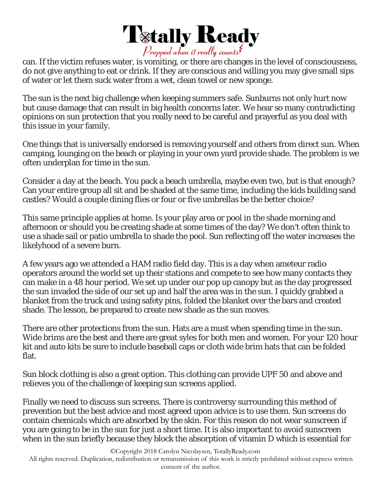

can. If the victim refuses water, is vomiting, or there are changes in the level of consciousness, do not give anything to eat or drink. If they are conscious and willing you may give small sips of water or let them suck water from a wet, clean towel or new sponge.

The sun is the next big challenge when keeping summers safe. Sunburns not only hurt now but cause damage that can result in big health concerns later. We hear so many contradicting opinions on sun protection that you really need to be careful and prayerful as you deal with this issue in your family.

One things that is universally endorsed is removing yourself and others from direct sun. When camping, lounging on the beach or playing in your own yard provide shade. The problem is we often underplan for time in the sun.

Consider a day at the beach. You pack a beach umbrella, maybe even two, but is that enough? Can your entire group all sit and be shaded at the same time, including the kids building sand castles? Would a couple dining flies or four or five umbrellas be the better choice?

This same principle applies at home. Is your play area or pool in the shade morning and afternoon or should you be creating shade at some times of the day? We don't often think to use a shade sail or patio umbrella to shade the pool. Sun reflecting off the water increases the likelyhood of a severe burn.

A few years ago we attended a HAM radio field day. This is a day when ameteur radio operators around the world set up their stations and compete to see how many contacts they can make in a 48 hour period. We set up under our pop up canopy but as the day progressed the sun invaded the side of our set up and half the area was in the sun. I quickly grabbed a blanket from the truck and using safety pins, folded the blanket over the bars and created shade. The lesson, be prepared to create new shade as the sun moves.

There are other protections from the sun. Hats are a must when spending time in the sun. Wide brims are the best and there are great syles for both men and women. For your 120 hour kit and auto kits be sure to include baseball caps or cloth wide brim hats that can be folded flat.

Sun block clothing is also a great option. This clothing can provide UPF 50 and above and relieves you of the challenge of keeping sun screens applied.

Finally we need to discuss sun screens. There is controversy surrounding this method of prevention but the best advice and most agreed upon advice is to use them. Sun screens do contain chemicals which are absorbed by the skin. For this reason do not wear sunscreen if you are going to be in the sun for just a short time. It is also important to avoid sunscreen when in the sun briefly because they block the absorption of vitamin D which is essential for

©Copyright 2018 Carolyn Nicolaysen, TotallyReady.com

All rights reserved. Duplication, redistribution or retransmission of this work is strictly prohibited without express written consent of the author.